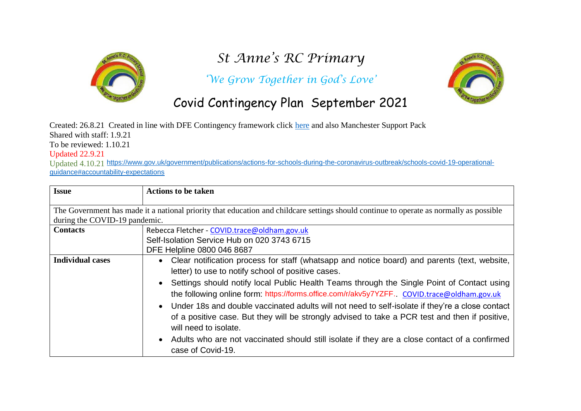

# *St Anne's RC Primary*

*'We Grow Together in God's Love'*



## Covid Contingency Plan September 2021

Created: 26.8.21 Created in line with DFE Contingency framework click [here](https://assets.publishing.service.gov.uk/government/uploads/system/uploads/attachment_data/file/1011704/20210817_Contingency_Framework_FINAL.pdf) and also Manchester Support Pack Shared with staff: 1.9.21 To be reviewed: 1.10.21

Updated 22.9.21

Updated 4.10.21 [https://www.gov.uk/government/publications/actions-for-schools-during-the-coronavirus-outbreak/schools-covid-19-operational](https://www.gov.uk/government/publications/actions-for-schools-during-the-coronavirus-outbreak/schools-covid-19-operational-guidance#accountability-expectations)[guidance#accountability-expectations](https://www.gov.uk/government/publications/actions-for-schools-during-the-coronavirus-outbreak/schools-covid-19-operational-guidance#accountability-expectations)

| <b>Issue</b>                                                                                                                            | <b>Actions to be taken</b>                                                                                |  |
|-----------------------------------------------------------------------------------------------------------------------------------------|-----------------------------------------------------------------------------------------------------------|--|
|                                                                                                                                         |                                                                                                           |  |
| The Government has made it a national priority that education and childcare settings should continue to operate as normally as possible |                                                                                                           |  |
| during the COVID-19 pandemic.                                                                                                           |                                                                                                           |  |
| <b>Contacts</b>                                                                                                                         | Rebecca Fletcher - COVID.trace@oldham.gov.uk                                                              |  |
|                                                                                                                                         | Self-Isolation Service Hub on 020 3743 6715                                                               |  |
|                                                                                                                                         | DFE Helpline 0800 046 8687                                                                                |  |
| <b>Individual cases</b>                                                                                                                 | Clear notification process for staff (whatsapp and notice board) and parents (text, website,<br>$\bullet$ |  |
|                                                                                                                                         | letter) to use to notify school of positive cases.                                                        |  |
|                                                                                                                                         | Settings should notify local Public Health Teams through the Single Point of Contact using                |  |
|                                                                                                                                         | the following online form: https://forms.office.com/r/akv5y7YZFF. COVID.trace@oldham.gov.uk               |  |
|                                                                                                                                         | Under 18s and double vaccinated adults will not need to self-isolate if they're a close contact           |  |
|                                                                                                                                         | of a positive case. But they will be strongly advised to take a PCR test and then if positive,            |  |
|                                                                                                                                         | will need to isolate.                                                                                     |  |
|                                                                                                                                         | • Adults who are not vaccinated should still isolate if they are a close contact of a confirmed           |  |
|                                                                                                                                         | case of Covid-19.                                                                                         |  |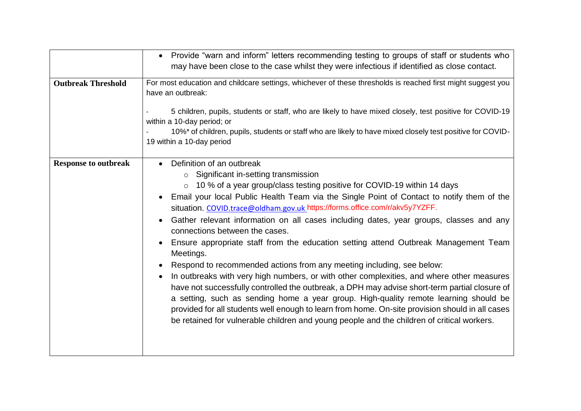|                             | Provide "warn and inform" letters recommending testing to groups of staff or students who<br>may have been close to the case whilst they were infectious if identified as close contact.                                                                                                                                                                                                                                                                                                                                                                                                                                                                                                                                                                                                                                                                                                                                                                                                                                                                                                                                          |
|-----------------------------|-----------------------------------------------------------------------------------------------------------------------------------------------------------------------------------------------------------------------------------------------------------------------------------------------------------------------------------------------------------------------------------------------------------------------------------------------------------------------------------------------------------------------------------------------------------------------------------------------------------------------------------------------------------------------------------------------------------------------------------------------------------------------------------------------------------------------------------------------------------------------------------------------------------------------------------------------------------------------------------------------------------------------------------------------------------------------------------------------------------------------------------|
| <b>Outbreak Threshold</b>   | For most education and childcare settings, whichever of these thresholds is reached first might suggest you<br>have an outbreak:<br>5 children, pupils, students or staff, who are likely to have mixed closely, test positive for COVID-19<br>within a 10-day period; or<br>10%* of children, pupils, students or staff who are likely to have mixed closely test positive for COVID-<br>19 within a 10-day period                                                                                                                                                                                                                                                                                                                                                                                                                                                                                                                                                                                                                                                                                                               |
| <b>Response to outbreak</b> | Definition of an outbreak<br>$\circ$ Significant in-setting transmission<br>○ 10 % of a year group/class testing positive for COVID-19 within 14 days<br>Email your local Public Health Team via the Single Point of Contact to notify them of the<br>situation. COVID.trace@oldham.gov.uk https://forms.office.com/r/akv5y7YZFF.<br>Gather relevant information on all cases including dates, year groups, classes and any<br>connections between the cases.<br>Ensure appropriate staff from the education setting attend Outbreak Management Team<br>Meetings.<br>Respond to recommended actions from any meeting including, see below:<br>In outbreaks with very high numbers, or with other complexities, and where other measures<br>have not successfully controlled the outbreak, a DPH may advise short-term partial closure of<br>a setting, such as sending home a year group. High-quality remote learning should be<br>provided for all students well enough to learn from home. On-site provision should in all cases<br>be retained for vulnerable children and young people and the children of critical workers. |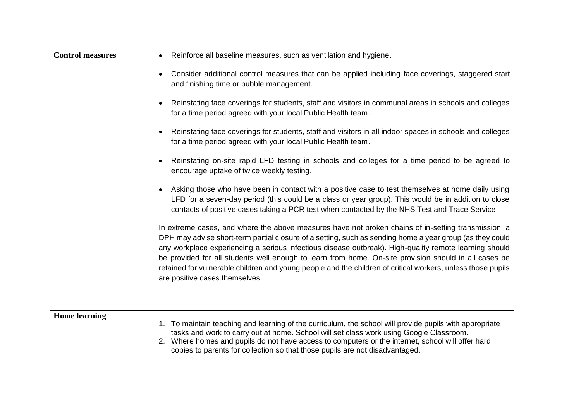| <b>Control measures</b> | Reinforce all baseline measures, such as ventilation and hygiene.                                                                                                                                                                                                                                                                                                                                                                                                                                                                                                                   |
|-------------------------|-------------------------------------------------------------------------------------------------------------------------------------------------------------------------------------------------------------------------------------------------------------------------------------------------------------------------------------------------------------------------------------------------------------------------------------------------------------------------------------------------------------------------------------------------------------------------------------|
|                         | Consider additional control measures that can be applied including face coverings, staggered start<br>and finishing time or bubble management.                                                                                                                                                                                                                                                                                                                                                                                                                                      |
|                         | Reinstating face coverings for students, staff and visitors in communal areas in schools and colleges<br>$\bullet$<br>for a time period agreed with your local Public Health team.                                                                                                                                                                                                                                                                                                                                                                                                  |
|                         | Reinstating face coverings for students, staff and visitors in all indoor spaces in schools and colleges<br>$\bullet$<br>for a time period agreed with your local Public Health team.                                                                                                                                                                                                                                                                                                                                                                                               |
|                         | Reinstating on-site rapid LFD testing in schools and colleges for a time period to be agreed to<br>encourage uptake of twice weekly testing.                                                                                                                                                                                                                                                                                                                                                                                                                                        |
|                         | Asking those who have been in contact with a positive case to test themselves at home daily using<br>LFD for a seven-day period (this could be a class or year group). This would be in addition to close<br>contacts of positive cases taking a PCR test when contacted by the NHS Test and Trace Service                                                                                                                                                                                                                                                                          |
|                         | In extreme cases, and where the above measures have not broken chains of in-setting transmission, a<br>DPH may advise short-term partial closure of a setting, such as sending home a year group (as they could<br>any workplace experiencing a serious infectious disease outbreak). High-quality remote learning should<br>be provided for all students well enough to learn from home. On-site provision should in all cases be<br>retained for vulnerable children and young people and the children of critical workers, unless those pupils<br>are positive cases themselves. |
| <b>Home learning</b>    | 1. To maintain teaching and learning of the curriculum, the school will provide pupils with appropriate<br>tasks and work to carry out at home. School will set class work using Google Classroom.<br>2. Where homes and pupils do not have access to computers or the internet, school will offer hard<br>copies to parents for collection so that those pupils are not disadvantaged.                                                                                                                                                                                             |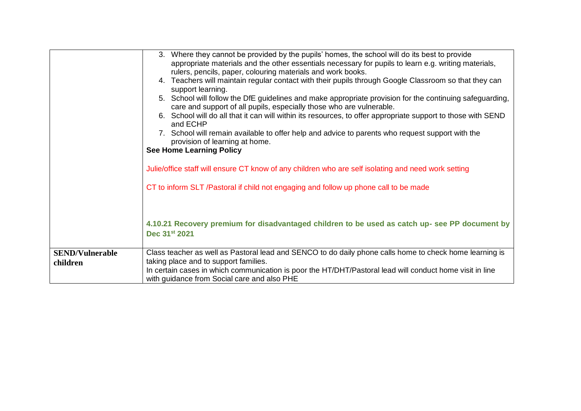|                        | 3. Where they cannot be provided by the pupils' homes, the school will do its best to provide<br>appropriate materials and the other essentials necessary for pupils to learn e.g. writing materials,<br>rulers, pencils, paper, colouring materials and work books.<br>4. Teachers will maintain regular contact with their pupils through Google Classroom so that they can<br>support learning.<br>5. School will follow the DfE guidelines and make appropriate provision for the continuing safeguarding,<br>care and support of all pupils, especially those who are vulnerable.<br>6. School will do all that it can will within its resources, to offer appropriate support to those with SEND<br>and ECHP<br>7. School will remain available to offer help and advice to parents who request support with the<br>provision of learning at home.<br><b>See Home Learning Policy</b><br>Julie/office staff will ensure CT know of any children who are self isolating and need work setting<br>CT to inform SLT /Pastoral if child not engaging and follow up phone call to be made<br>4.10.21 Recovery premium for disadvantaged children to be used as catch up-see PP document by<br>Dec 31st 2021 |
|------------------------|--------------------------------------------------------------------------------------------------------------------------------------------------------------------------------------------------------------------------------------------------------------------------------------------------------------------------------------------------------------------------------------------------------------------------------------------------------------------------------------------------------------------------------------------------------------------------------------------------------------------------------------------------------------------------------------------------------------------------------------------------------------------------------------------------------------------------------------------------------------------------------------------------------------------------------------------------------------------------------------------------------------------------------------------------------------------------------------------------------------------------------------------------------------------------------------------------------------|
|                        |                                                                                                                                                                                                                                                                                                                                                                                                                                                                                                                                                                                                                                                                                                                                                                                                                                                                                                                                                                                                                                                                                                                                                                                                              |
| <b>SEND/Vulnerable</b> | Class teacher as well as Pastoral lead and SENCO to do daily phone calls home to check home learning is                                                                                                                                                                                                                                                                                                                                                                                                                                                                                                                                                                                                                                                                                                                                                                                                                                                                                                                                                                                                                                                                                                      |
| children               | taking place and to support families.<br>In certain cases in which communication is poor the HT/DHT/Pastoral lead will conduct home visit in line                                                                                                                                                                                                                                                                                                                                                                                                                                                                                                                                                                                                                                                                                                                                                                                                                                                                                                                                                                                                                                                            |
|                        | with guidance from Social care and also PHE                                                                                                                                                                                                                                                                                                                                                                                                                                                                                                                                                                                                                                                                                                                                                                                                                                                                                                                                                                                                                                                                                                                                                                  |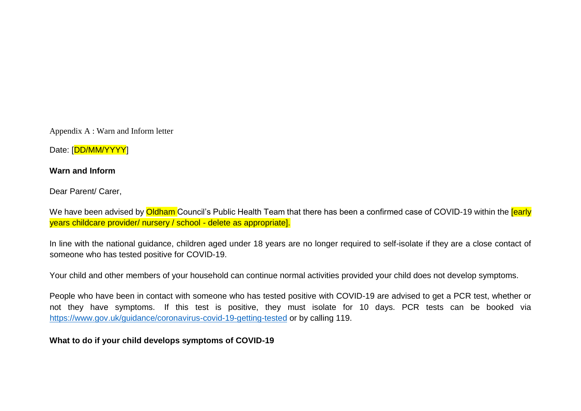Appendix A : Warn and Inform letter

Date: [DD/MM/YYYY]

#### **Warn and Inform**

Dear Parent/ Carer,

We have been advised by **Oldham** Council's Public Health Team that there has been a confirmed case of COVID-19 within the **[early** years childcare provider/ nursery / school - delete as appropriate].

In line with the national guidance, children aged under 18 years are no longer required to self-isolate if they are a close contact of someone who has tested positive for COVID-19.

Your child and other members of your household can continue normal activities provided your child does not develop symptoms.

People who have been in contact with someone who has tested positive with COVID-19 are advised to get a PCR test, whether or not they have symptoms. If this test is positive, they must isolate for 10 days. PCR tests can be booked via <https://www.gov.uk/guidance/coronavirus-covid-19-getting-tested> or by calling 119.

#### **What to do if your child develops symptoms of COVID-19**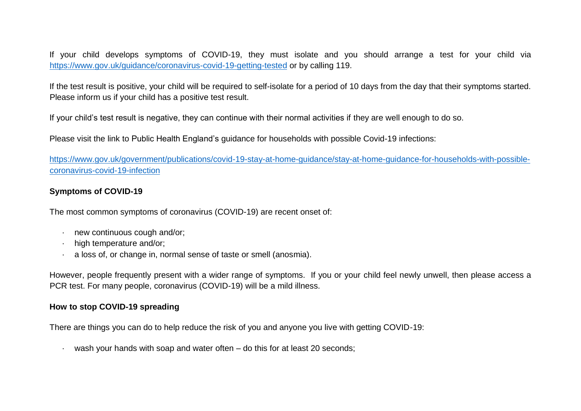If your child develops symptoms of COVID-19, they must isolate and you should arrange a test for your child via <https://www.gov.uk/guidance/coronavirus-covid-19-getting-tested> or by calling 119.

If the test result is positive, your child will be required to self-isolate for a period of 10 days from the day that their symptoms started. Please inform us if your child has a positive test result.

If your child's test result is negative, they can continue with their normal activities if they are well enough to do so.

Please visit the link to Public Health England's guidance for households with possible Covid-19 infections:

[https://www.gov.uk/government/publications/covid-19-stay-at-home-guidance/stay-at-home-guidance-for-households-with-possible](https://www.gov.uk/government/publications/covid-19-stay-at-home-guidance/stay-at-home-guidance-for-households-with-possible-coronavirus-covid-19-infection)[coronavirus-covid-19-infection](https://www.gov.uk/government/publications/covid-19-stay-at-home-guidance/stay-at-home-guidance-for-households-with-possible-coronavirus-covid-19-infection)

#### **Symptoms of COVID-19**

The most common symptoms of coronavirus (COVID-19) are recent onset of:

- · new continuous cough and/or;
- · high temperature and/or;
- · a loss of, or change in, normal sense of taste or smell (anosmia).

However, people frequently present with a wider range of symptoms. If you or your child feel newly unwell, then please access a PCR test. For many people, coronavirus (COVID-19) will be a mild illness.

#### **How to stop COVID-19 spreading**

There are things you can do to help reduce the risk of you and anyone you live with getting COVID-19:

wash your hands with soap and water often – do this for at least 20 seconds;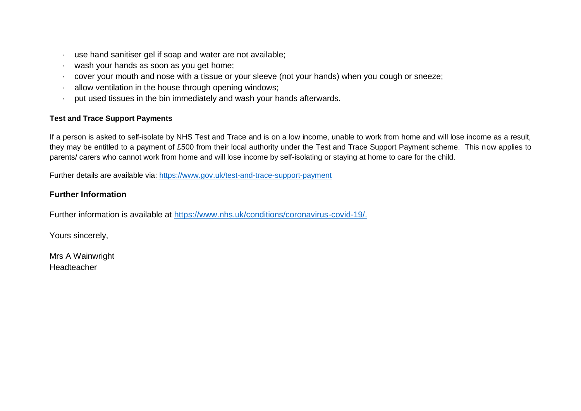- use hand sanitiser gel if soap and water are not available;
- wash your hands as soon as you get home;
- cover your mouth and nose with a tissue or your sleeve (not your hands) when you cough or sneeze:
- allow ventilation in the house through opening windows;
- put used tissues in the bin immediately and wash your hands afterwards.

#### **Test and Trace Support Payments**

If a person is asked to self-isolate by NHS Test and Trace and is on a low income, unable to work from home and will lose income as a result, they may be entitled to a payment of £500 from their local authority under the Test and Trace Support Payment scheme. This now applies to parents/ carers who cannot work from home and will lose income by self-isolating or staying at home to care for the child.

Further details are available via:<https://www.gov.uk/test-and-trace-support-payment>

#### **Further Information**

Further information is available at [https://www.nhs.uk/conditions/coronavirus-covid-19/.](https://www.nhs.uk/conditions/coronavirus-covid-19/)

Yours sincerely,

Mrs A Wainwright Headteacher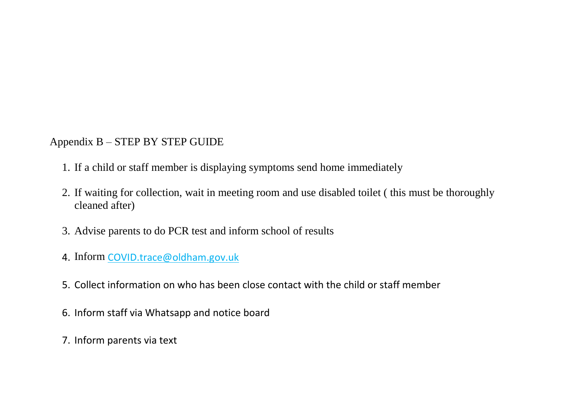### Appendix B – STEP BY STEP GUIDE

- 1. If a child or staff member is displaying symptoms send home immediately
- 2. If waiting for collection, wait in meeting room and use disabled toilet ( this must be thoroughly cleaned after)
- 3. Advise parents to do PCR test and inform school of results
- 4. Inform [COVID.trace@oldham.gov.uk](mailto:COVID.trace@oldham.gov.uk)
- 5. Collect information on who has been close contact with the child or staff member
- 6. Inform staff via Whatsapp and notice board
- 7. Inform parents via text